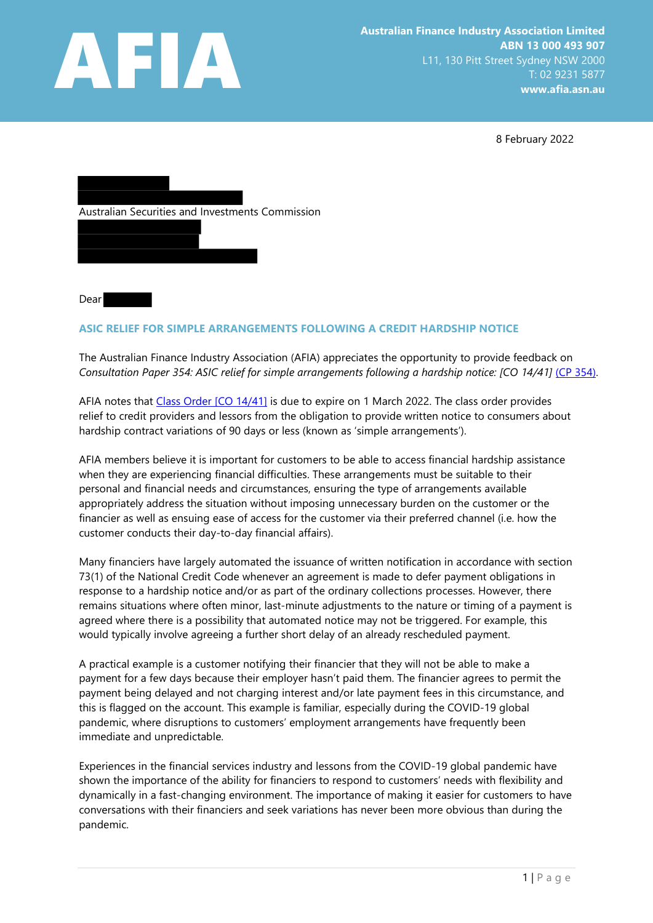

8 February 2022



Dear

## ASIC RELIEF FOR SIMPLE ARRANGEMENTS FOLLOWING A CREDIT HARDSHIP NOTICE

The Australian Finance Industry Association (AFIA) appreciates the opportunity to provide feedback on Consultation Paper 354: ASIC relief for simple arrangements following a hardship notice: [CO 14/41] (CP 354).

AFIA notes that Class Order [CO 14/41] is due to expire on 1 March 2022. The class order provides relief to credit providers and lessors from the obligation to provide written notice to consumers about hardship contract variations of 90 days or less (known as 'simple arrangements').

AFIA members believe it is important for customers to be able to access financial hardship assistance when they are experiencing financial difficulties. These arrangements must be suitable to their personal and financial needs and circumstances, ensuring the type of arrangements available appropriately address the situation without imposing unnecessary burden on the customer or the financier as well as ensuing ease of access for the customer via their preferred channel (i.e. how the customer conducts their day-to-day financial affairs).

Many financiers have largely automated the issuance of written notification in accordance with section 73(1) of the National Credit Code whenever an agreement is made to defer payment obligations in response to a hardship notice and/or as part of the ordinary collections processes. However, there remains situations where often minor, last-minute adjustments to the nature or timing of a payment is agreed where there is a possibility that automated notice may not be triggered. For example, this would typically involve agreeing a further short delay of an already rescheduled payment.

A practical example is a customer notifying their financier that they will not be able to make a payment for a few days because their employer hasn't paid them. The financier agrees to permit the payment being delayed and not charging interest and/or late payment fees in this circumstance, and this is flagged on the account. This example is familiar, especially during the COVID-19 global pandemic, where disruptions to customers' employment arrangements have frequently been immediate and unpredictable.

Experiences in the financial services industry and lessons from the COVID-19 global pandemic have shown the importance of the ability for financiers to respond to customers' needs with flexibility and dynamically in a fast-changing environment. The importance of making it easier for customers to have conversations with their financiers and seek variations has never been more obvious than during the pandemic.